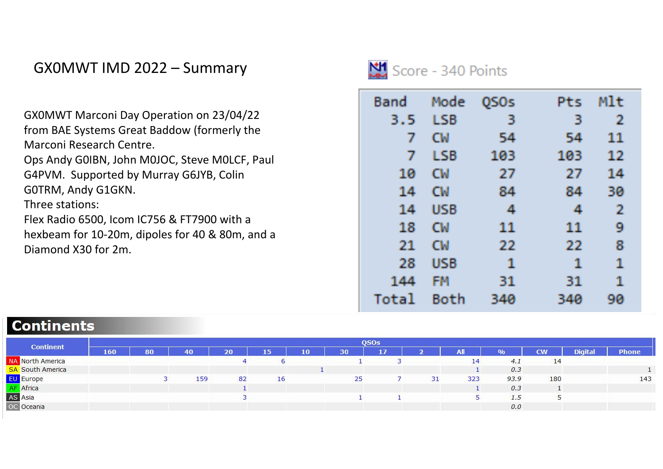## GX0MWT IMD 2022 – Summary

GX0MWT Marconi Day Operation on 23/04/22 from BAE Systems Great Baddow (formerly the Marconi Research Centre. Ops Andy G0IBN, John M0JOC, Steve M0LCF, Paul G4PVM. Supported by Murray G6JYB, Colin G0TRM, Andy G1GKN. Three stations: Flex Radio 6500, Icom IC756 & FT7900 with <sup>a</sup> hexbeam for 10‐20m, dipoles for 40 & 80m, and <sup>a</sup> Diamond X30 for 2m.



| Band  | Mode       | OSOs | Pts | Mlt          |
|-------|------------|------|-----|--------------|
| 3.5   | <b>LSB</b> | 3    | 3   | $\mathbf{2}$ |
| 7     | <b>CM</b>  | 54   | 54  | 11           |
| 7     | <b>LSB</b> | 103  | 103 | 12           |
| 10    | CW         | -27  | -27 | 14           |
| 14    | CW         | 84   | 84  | 30           |
| 14    | <b>USB</b> | 4    | 4   | 2            |
| 18    | CW         | 11   | 11  | 9            |
| 21    | CW         | -22  | -22 | 8            |
| 28    | <b>USB</b> | 1    | 1   | 1            |
| 144   | FM         | 31   | 31  | 1            |
| Total | Both       | 340  | 340 | 90           |

## **Continents**

|                         |     | <b>OSOs</b> |     |    |    |    |    |    |    |     |      |           |                |              |  |
|-------------------------|-----|-------------|-----|----|----|----|----|----|----|-----|------|-----------|----------------|--------------|--|
| <b>Continent</b>        | 160 | 80          | 40  | 20 | 15 | 10 | 30 | 17 |    | All | 0/0  | <b>CW</b> | <b>Digital</b> | <b>Phone</b> |  |
| <b>VA</b> North America |     |             |     |    |    |    |    |    |    | 14  | 4.1  | 14        |                |              |  |
| <b>SA South America</b> |     |             |     |    |    |    |    |    |    |     | 0.3  |           |                |              |  |
| EU Europe               |     |             | 159 | 82 | 16 |    | 25 |    | 31 | 323 | 93.9 | 180       |                | 143          |  |
| Africa                  |     |             |     |    |    |    |    |    |    |     | 0.3  |           |                |              |  |
| AS Asia                 |     |             |     |    |    |    |    |    |    |     | 1.5  |           |                |              |  |
| C Oceania               |     |             |     |    |    |    |    |    |    |     | 0.0  |           |                |              |  |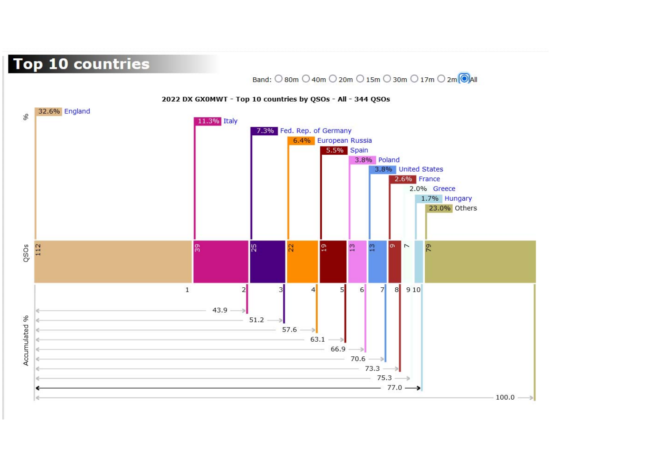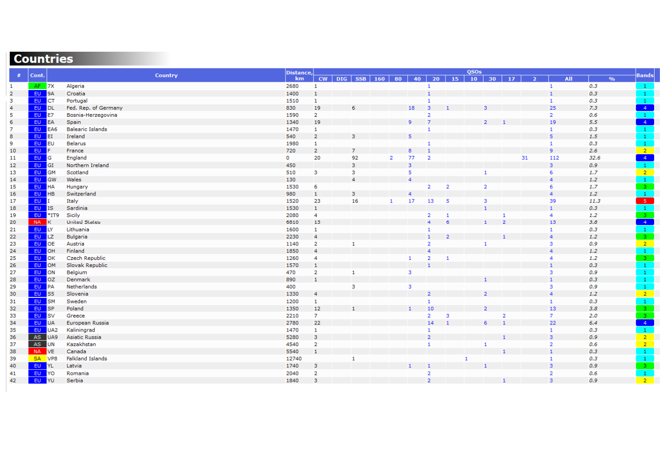## **Countries**

| #              | Cont.        | Country                 | Distance, | QSOs           |  |                     |  |                |                |                         |                |              |                |                |                |                |      |                            |                                                |
|----------------|--------------|-------------------------|-----------|----------------|--|---------------------|--|----------------|----------------|-------------------------|----------------|--------------|----------------|----------------|----------------|----------------|------|----------------------------|------------------------------------------------|
|                |              |                         | km        |                |  | $CW$ DIG SSB 160 80 |  |                |                | $40$ 20                 | $-15$          |              | $10$ 30 17     |                | $\overline{2}$ | <b>All</b>     |      | $\mathbf{0}/_{\mathbf{0}}$ | <b>Bands</b>                                   |
| $\mathbf{1}$   | $AF$ 7X      | Algeria                 | 2680      | $\mathbf{1}$   |  |                     |  |                |                | $\mathbf{1}$            |                |              |                |                |                | $\mathbf{1}$   | 0.3  |                            | $\mathbf{1}$                                   |
| $\overline{2}$ | EU 9A        | Croatia                 | 1400      | $\mathbf{1}$   |  |                     |  |                |                | $\overline{1}$          |                |              |                |                |                | $\mathbf{1}$   | 0.3  |                            | $\frac{1}{1}$                                  |
| 3              | EU CT        | Portugal                | 1510      | $\mathbf{1}$   |  |                     |  |                |                | $\mathbf{1}$            |                |              |                |                |                | $\mathbf{1}$   | 0.3  |                            |                                                |
| 4              | EU DL        | Fed. Rep. of Germany    | 830       | 19             |  | 6                   |  |                | 18             | $\overline{\mathbf{3}}$ |                |              | 3              |                |                | 25             | 7.3  |                            | $-4$                                           |
| 5              | EU E7        | Bosnia-Herzegovina      | 1590      | 2              |  |                     |  |                |                | 2                       |                |              |                |                |                | $\overline{2}$ | 0.6  |                            | $\boxed{1}$                                    |
| 6              | EU EA        | Spain                   | 1340      | 19             |  |                     |  |                | 9              | $\overline{z}$          |                |              | $\overline{2}$ |                |                | 19             | 5.5  |                            | $-4$                                           |
| 7              | EU EA6       | <b>Balearic Islands</b> | 1470      | $\mathbf{1}$   |  |                     |  |                |                | $\mathbf{1}$            |                |              |                |                |                | $\mathbf{1}$   | 0.3  |                            | $\mathbf{1}$                                   |
| 8              | EU ET        | Ireland                 | 540       | $\overline{2}$ |  | 3.                  |  |                | $5^{\circ}$    |                         |                |              |                |                |                | 5 <sup>1</sup> | 1.5  |                            | $\ {\bf 1}\ $                                  |
| 9              | EU EU        | <b>Belarus</b>          | 1980      | 1              |  |                     |  |                |                | $\mathbf{1}$            |                |              |                |                |                | $\mathbf{1}$   | 0.3  |                            | $\frac{1}{2}$                                  |
| 10             | EU F         | France                  | 720       | $\overline{2}$ |  |                     |  |                | 8              | $\overline{1}$          |                |              |                |                |                | 9              | 2.6  |                            |                                                |
| 11             | EU G         | England                 | 0         | 20             |  | 92                  |  | $\overline{2}$ | 77             | $\overline{2}$          |                |              |                |                | 31             | 112            | 32.6 |                            | $\begin{array}{c c}\n4 \\ 1 \\ 2\n\end{array}$ |
| 12             | EU GI        | Northern Ireland        | 450       |                |  | 3                   |  |                | 3              |                         |                |              |                |                |                | 3 <sup>7</sup> | 0.9  |                            |                                                |
| 13             | EU GM        | Scotland                | 510       | $\mathbf{3}$   |  | 3                   |  |                | 5              |                         |                |              | $\mathbf{1}$   |                |                | 6              | 1.7  |                            |                                                |
| 14             | EU GW        | Wales                   | 130       |                |  | 4                   |  |                | $\overline{4}$ |                         |                |              |                |                |                | $\overline{4}$ | 1.2  |                            | $\overline{1}$                                 |
| 15             | EU HA        | Hungary                 | 1530      | 6              |  |                     |  |                |                | $\overline{2}$          | $\overline{2}$ |              | $\overline{2}$ |                |                | 6              | 1.7  |                            |                                                |
| 16             | EU HB        | Switzerland             | 980       | $\mathbf{1}$   |  | 3                   |  |                | $\overline{a}$ |                         |                |              |                |                |                | $\overline{4}$ | 1.2  |                            | $\frac{3}{5}$                                  |
| 17             | <b>EU</b>    | Italy                   | 1520      | 23             |  | 16                  |  | $\mathbf{1}$   | 17             | 13                      | $-5$           |              | 3              |                |                | 39             | 11.3 |                            |                                                |
| 18             | EU IS        | Sardinia                | 1530      | $\mathbf{1}$   |  |                     |  |                |                |                         |                |              | $\mathbf{1}$   |                |                | $\mathbf{1}$   | 0.3  |                            | $\begin{array}{c}\n1 \\ 2 \\ 4\n\end{array}$   |
| 19             | EU *IT9      | Sicily                  | 2080      | $\overline{4}$ |  |                     |  |                |                | $\mathbf{2}$            | $\mathbf{1}$   |              |                | 1              |                | 4              | 1.2  |                            |                                                |
| 20             | NA K         | <b>United States</b>    | 6810      | 13             |  |                     |  |                |                | $\overline{4}$          | 6              |              | $\mathbf{1}$   | $\overline{2}$ |                | 13             | 3.8  |                            |                                                |
| 21             | EU LY        | Lithuania               | 1600      | $\mathbf{1}$   |  |                     |  |                |                | 1                       |                |              |                |                |                | 1              | 0.3  |                            | $\frac{1}{3}$                                  |
| 22             | EU LZ        | Bulgaria                | 2230      | $\overline{4}$ |  |                     |  |                |                | $\mathbf{1}$            | $\overline{2}$ |              |                |                |                | $\overline{4}$ | 1.2  |                            |                                                |
| 23             | <b>EU</b> OE | Austria                 | 1140      | $\overline{2}$ |  | $\mathbf{1}$        |  |                |                | $\overline{2}$          |                |              | $\mathbf{1}$   |                |                | 3              | 0.9  |                            | $\bullet$                                      |
| 24             | EU OH        | Finland                 | 1850      | $\overline{4}$ |  |                     |  |                |                | $\overline{a}$          |                |              |                |                |                | $\overline{4}$ | 1.2  |                            | $\overline{1}$                                 |
| 25             | <b>EU</b> OK | Czech Republic          | 1260      | $\overline{4}$ |  |                     |  |                | $\mathbf{1}$   | $\overline{2}$          | $\mathbf{1}$   |              |                |                |                | 4              | 1.2  |                            | $-3-$                                          |
| 26             | EU OM        | Slovak Republic         | 1570      | $\mathbf{1}$   |  |                     |  |                |                |                         |                |              |                |                |                | $\mathbf{1}$   | 0.3  |                            | $\bullet$                                      |
| 27             | EU ON        | Belgium                 | 470       | $\overline{2}$ |  | $\mathbf{1}$        |  |                | $\mathbf{3}$   |                         |                |              |                |                |                | 3              | 0.9  |                            | $\ 1\ $                                        |
| 28             | EU OZ        | Denmark                 | 890       | $\mathbf{1}$   |  |                     |  |                |                |                         |                |              |                |                |                | $\mathbf{1}$   | 0.3  |                            | $\mathbf{1}$                                   |
| 29             | EU PA        | Netherlands             | 400       |                |  | 3                   |  |                | $\mathbf{3}$   |                         |                |              |                |                |                | 3              | 0.9  |                            | $\frac{1}{2}$                                  |
| 30             | EU S5        | Slovenia                | 1330      | $\overline{4}$ |  |                     |  |                |                | $\overline{2}$          |                |              |                |                |                | $\overline{4}$ | 1.2  |                            |                                                |
| 31             | EU SM        | Sweden                  | 1200      | $\mathbf{1}$   |  |                     |  |                |                |                         |                |              |                |                |                | $\mathbf{1}$   | 0.3  |                            |                                                |
| 32             | EU SP        | Poland                  | 1350      | 12             |  |                     |  |                | $\mathbf{1}$   | 10                      |                |              | $\overline{2}$ |                |                | 13             | 3.8  |                            | $\begin{array}{c} 1 \\ 3 \\ 3 \end{array}$     |
| 33             | EU SV        | Greece                  | 2210      | $\mathcal{I}$  |  |                     |  |                |                | $\overline{2}$          | 3              |              |                | $\overline{2}$ |                | $\overline{7}$ | 2.0  |                            |                                                |
| 34             | <b>EU</b> UA | European Russia         | 2780      | 22             |  |                     |  |                |                | 14                      | $\mathbf{1}$   |              | 6              | $\mathbf{1}$   |                | 22             | 6.4  |                            | $-4$                                           |
| 35             | EU UA2       | Kaliningrad             | 1470      | $\mathbf{1}$   |  |                     |  |                |                | $\mathbf{1}$            |                |              |                |                |                | $\mathbf{1}$   | 0.3  |                            | $\frac{1}{2}$                                  |
| 36             | AS UA9       | Asiatic Russia          | 5280      | 3              |  |                     |  |                |                | $\overline{2}$          |                |              |                |                |                | $\overline{3}$ | 0.9  |                            |                                                |
| 37             | AS UN        | Kazakhstan              | 4540      | $\overline{2}$ |  |                     |  |                |                | $\mathbf{1}$            |                |              | $\mathbf{1}$   |                |                | $\overline{2}$ | 0.6  |                            | $\frac{2}{2}$                                  |
| 38             | NA VE        | Canada                  | 5540      | $\mathbf{1}$   |  |                     |  |                |                |                         |                |              |                |                |                | $\mathbf{1}$   | 0.3  |                            | $\vert 1 \vert$                                |
| 39             | SA VP8       | <b>Falkland Islands</b> | 12740     |                |  | 1                   |  |                |                |                         |                | $\mathbf{1}$ |                |                |                | $\mathbf{1}$   | 0.3  |                            | $\overline{1}$                                 |
| 40             | EU YL        | Latvia                  | 1740      | 3              |  |                     |  |                |                | $\mathbf{1}$            |                |              |                |                |                | $\overline{3}$ | 0.9  |                            | $-3$                                           |
| 41             | <b>EU</b> YO | Romania                 | 2040      | $\overline{2}$ |  |                     |  |                |                | $\overline{2}$          |                |              |                |                |                | $\overline{2}$ | 0.6  |                            | $\frac{1}{2}$                                  |
| 42             | EU YU        | Serbia                  | 1840      | 3              |  |                     |  |                |                | $\overline{z}$          |                |              |                |                |                | $\overline{3}$ | 0.9  |                            |                                                |
|                |              |                         |           |                |  |                     |  |                |                |                         |                |              |                |                |                |                |      |                            |                                                |